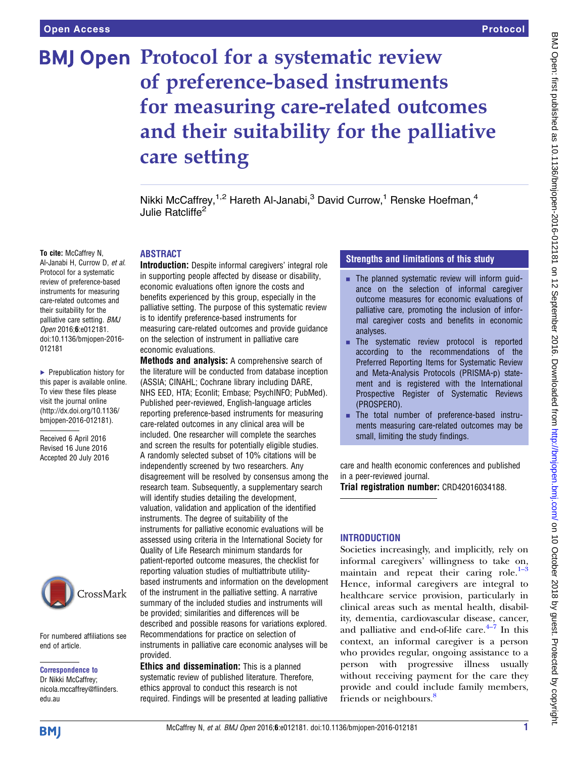# **BMJ Open Protocol for a systematic review** of preference-based instruments for measuring care-related outcomes and their suitability for the palliative care setting

Nikki McCaffrey, $1,2$  Hareth Al-Janabi, $3$  David Currow,<sup>1</sup> Renske Hoefman, $4$ Julie Ratcliffe<sup>2</sup>

## To cite: McCaffrey N,

Al-Janabi H, Currow D, et al. Protocol for a systematic review of preference-based instruments for measuring care-related outcomes and their suitability for the palliative care setting. BMJ Open 2016;6:e012181. doi:10.1136/bmjopen-2016- 012181

▶ Prepublication history for this paper is available online. To view these files please visit the journal online [\(http://dx.doi.org/10.1136/](http://dx.doi.org/10.1136/bmjopen-2016-012181) [bmjopen-2016-012181](http://dx.doi.org/10.1136/bmjopen-2016-012181)).

Received 6 April 2016 Revised 16 June 2016 Accepted 20 July 2016



For numbered affiliations see end of article.

Correspondence to

Dr Nikki McCaffrey; nicola.mccaffrey@flinders. edu.au

## ABSTRACT

Introduction: Despite informal caregivers' integral role in supporting people affected by disease or disability, economic evaluations often ignore the costs and benefits experienced by this group, especially in the palliative setting. The purpose of this systematic review is to identify preference-based instruments for measuring care-related outcomes and provide guidance on the selection of instrument in palliative care economic evaluations.

Methods and analysis: A comprehensive search of the literature will be conducted from database inception (ASSIA; CINAHL; Cochrane library including DARE, NHS EED, HTA; Econlit; Embase; PsychINFO; PubMed). Published peer-reviewed, English-language articles reporting preference-based instruments for measuring care-related outcomes in any clinical area will be included. One researcher will complete the searches and screen the results for potentially eligible studies. A randomly selected subset of 10% citations will be independently screened by two researchers. Any disagreement will be resolved by consensus among the research team. Subsequently, a supplementary search will identify studies detailing the development. valuation, validation and application of the identified instruments. The degree of suitability of the instruments for palliative economic evaluations will be assessed using criteria in the International Society for Quality of Life Research minimum standards for patient-reported outcome measures, the checklist for reporting valuation studies of multiattribute utilitybased instruments and information on the development of the instrument in the palliative setting. A narrative summary of the included studies and instruments will be provided; similarities and differences will be described and possible reasons for variations explored. Recommendations for practice on selection of instruments in palliative care economic analyses will be provided.

Ethics and dissemination: This is a planned systematic review of published literature. Therefore, ethics approval to conduct this research is not required. Findings will be presented at leading palliative

## Strengths and limitations of this study

- $\blacksquare$  The planned systematic review will inform quidance on the selection of informal caregiver outcome measures for economic evaluations of palliative care, promoting the inclusion of informal caregiver costs and benefits in economic analyses.
- **EXECUTE:** The systematic review protocol is reported according to the recommendations of the Preferred Reporting Items for Systematic Review and Meta-Analysis Protocols (PRISMA-p) statement and is registered with the International Prospective Register of Systematic Reviews (PROSPERO).
- **EXECUTE:** The total number of preference-based instruments measuring care-related outcomes may be small, limiting the study findings.

care and health economic conferences and published in a peer-reviewed journal.

Trial registration number: CRD42016034188.

## **INTRODUCTION**

Societies increasingly, and implicitly, rely on informal caregivers' willingness to take [on,](#page-4-0) maintain and repeat their caring role. $1-3$ Hence, informal caregivers are integral to healthcare service provision, particularly in clinical areas such as mental health, disability, dementia, cardiovascular disea[se,](#page-4-0) cancer, and palliative and end-of-life care. $4-7$  In this context, an informal caregiver is a person who provides regular, ongoing assistance to a person with progressive illness usually without receiving payment for the care they provide and could include family members, friends or neighbours.<sup>[8](#page-4-0)</sup>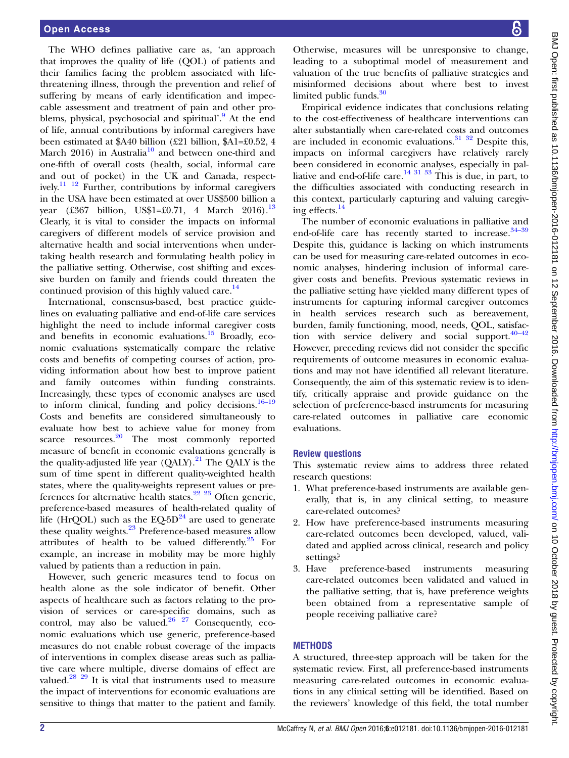The WHO defines palliative care as, 'an approach that improves the quality of life (QOL) of patients and their families facing the problem associated with lifethreatening illness, through the prevention and relief of suffering by means of early identification and impeccable assessment and treatment of pain and other pro-blems, physical, psychosocial and spiritual'.<sup>[9](#page-4-0)</sup> At the end of life, annual contributions by informal caregivers have been estimated at \$A40 billion (£21 billion, \$A1=£0.52, 4 March 2016) in Australia<sup>[10](#page-4-0)</sup> and between one-third and one-fifth of overall costs (health, social, informal care and out of pocket) in the UK and Canada, respectively.<sup>11 12</sup> Further, contributions by informal caregivers in the USA have been estimated at over US\$500 billion a year (£367 billion, US\$1=£0.71, 4 March 2016).<sup>[13](#page-4-0)</sup> Clearly, it is vital to consider the impacts on informal caregivers of different models of service provision and alternative health and social interventions when undertaking health research and formulating health policy in the palliative setting. Otherwise, cost shifting and excessive burden on family and friends could threaten the continued provision of this highly valued care. $^{14}$  $^{14}$  $^{14}$ 

International, consensus-based, best practice guidelines on evaluating palliative and end-of-life care services highlight the need to include informal caregiver costs and benefits in economic evaluations. $^{15}$  $^{15}$  $^{15}$  Broadly, economic evaluations systematically compare the relative costs and benefits of competing courses of action, providing information about how best to improve patient and family outcomes within funding constraints. Increasingly, these types of economic analyses are used to inform clinical, funding and policy decisions. $16-19$  $16-19$ Costs and benefits are considered simultaneously to evaluate how best to achieve value for money from scarce resources. $20$  The most commonly reported measure of benefit in economic evaluations generally is the quality-adjusted life year  $(QALY)$ .<sup>[21](#page-4-0)</sup> The  $QALY$  is the sum of time spent in different quality-weighted health states, where the quality-weights represent values or pre-ferences for alternative health states.<sup>[22 23](#page-4-0)</sup> Often generic, preference-based measures of health-related quality of life (HrQOL) such as the  $EQ-5D<sup>24</sup>$  $EQ-5D<sup>24</sup>$  $EQ-5D<sup>24</sup>$  are used to generate these quality weights.<sup>[23](#page-4-0)</sup> Preference-based measures allow attributes of health to be valued differently. $^{25}$  For example, an increase in mobility may be more highly valued by patients than a reduction in pain.

However, such generic measures tend to focus on health alone as the sole indicator of benefit. Other aspects of healthcare such as factors relating to the provision of services or care-specific domains, such as control, may also be valued. $26 \frac{26}{27}$  Consequently, economic evaluations which use generic, preference-based measures do not enable robust coverage of the impacts of interventions in complex disease areas such as palliative care where multiple, diverse domains of effect are valued. $28 \frac{29}{11}$  $28 \frac{29}{11}$  It is vital that instruments used to measure the impact of interventions for economic evaluations are sensitive to things that matter to the patient and family.

Otherwise, measures will be unresponsive to change, leading to a suboptimal model of measurement and valuation of the true benefits of palliative strategies and misinformed decisions about where best to invest limited public funds. $30$ 

Empirical evidence indicates that conclusions relating to the cost-effectiveness of healthcare interventions can alter substantially when care-related costs and outcomes are included in economic evaluations. $31 \frac{32}{2}$  Despite this, impacts on informal caregivers have relatively rarely been considered in economic analyses, especially in palliative and end-of-life care.<sup>14 31</sup> <sup>33</sup> This is due, in part, to the difficulties associated with conducting research in this context, particularly capturing and valuing caregiving effects.[14](#page-4-0)

The number of economic evaluations in palliative and end-of-life care has recently started to increase.<sup>[34](#page-5-0)-39</sup> Despite this, guidance is lacking on which instruments can be used for measuring care-related outcomes in economic analyses, hindering inclusion of informal caregiver costs and benefits. Previous systematic reviews in the palliative setting have yielded many different types of instruments for capturing informal caregiver outcomes in health services research such as bereavement, burden, family functioning, mood, needs, QOL, satisfaction with service delivery and social support. $40-42$ However, preceding reviews did not consider the specific requirements of outcome measures in economic evaluations and may not have identified all relevant literature. Consequently, the aim of this systematic review is to identify, critically appraise and provide guidance on the selection of preference-based instruments for measuring care-related outcomes in palliative care economic evaluations.

#### Review questions

This systematic review aims to address three related research questions:

- 1. What preference-based instruments are available generally, that is, in any clinical setting, to measure care-related outcomes?
- 2. How have preference-based instruments measuring care-related outcomes been developed, valued, validated and applied across clinical, research and policy settings?
- 3. Have preference-based instruments measuring care-related outcomes been validated and valued in the palliative setting, that is, have preference weights been obtained from a representative sample of people receiving palliative care?

#### METHODS

A structured, three-step approach will be taken for the systematic review. First, all preference-based instruments measuring care-related outcomes in economic evaluations in any clinical setting will be identified. Based on the reviewers' knowledge of this field, the total number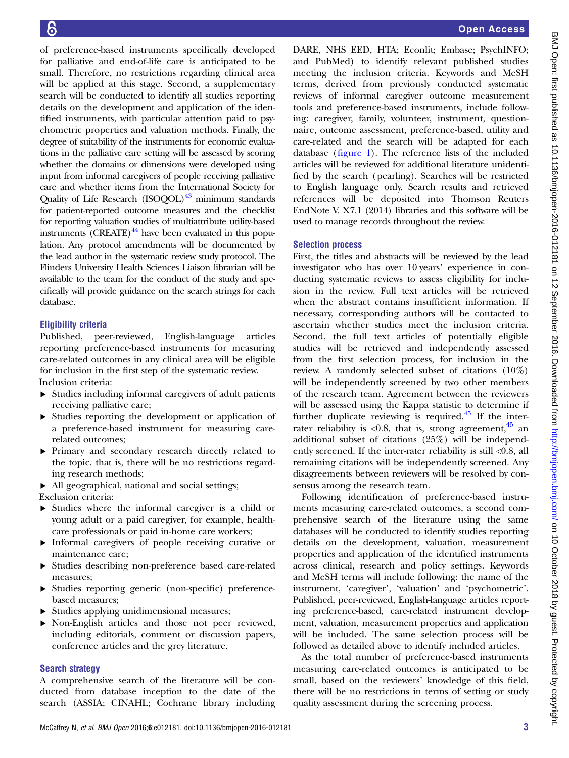of preference-based instruments specifically developed for palliative and end-of-life care is anticipated to be small. Therefore, no restrictions regarding clinical area will be applied at this stage. Second, a supplementary search will be conducted to identify all studies reporting details on the development and application of the identified instruments, with particular attention paid to psychometric properties and valuation methods. Finally, the degree of suitability of the instruments for economic evaluations in the palliative care setting will be assessed by scoring whether the domains or dimensions were developed using input from informal caregivers of people receiving palliative care and whether items from the International Society for Quality of Life Research  $(ISOQOL)^{43}$  minimum standards for patient-reported outcome measures and the checklist for reporting valuation studies of multiattribute utility-based instruments  $(CREATE)^{44}$  $(CREATE)^{44}$  $(CREATE)^{44}$  have been evaluated in this population. Any protocol amendments will be documented by the lead author in the systematic review study protocol. The Flinders University Health Sciences Liaison librarian will be available to the team for the conduct of the study and specifically will provide guidance on the search strings for each database.

## Eligibility criteria

Published, peer-reviewed, English-language articles reporting preference-based instruments for measuring care-related outcomes in any clinical area will be eligible for inclusion in the first step of the systematic review. Inclusion criteria:

- ▸ Studies including informal caregivers of adult patients receiving palliative care;
- ▸ Studies reporting the development or application of a preference-based instrument for measuring carerelated outcomes;
- ▸ Primary and secondary research directly related to the topic, that is, there will be no restrictions regarding research methods;
- ▸ All geographical, national and social settings;

Exclusion criteria:

- ▸ Studies where the informal caregiver is a child or young adult or a paid caregiver, for example, healthcare professionals or paid in-home care workers;
- ▸ Informal caregivers of people receiving curative or maintenance care;
- ▸ Studies describing non-preference based care-related measures;
- ▸ Studies reporting generic (non-specific) preferencebased measures;
- ▸ Studies applying unidimensional measures;
- ▸ Non-English articles and those not peer reviewed, including editorials, comment or discussion papers, conference articles and the grey literature.

#### Search strategy

A comprehensive search of the literature will be conducted from database inception to the date of the search (ASSIA; CINAHL; Cochrane library including

DARE, NHS EED, HTA; Econlit; Embase; PsychINFO; and PubMed) to identify relevant published studies meeting the inclusion criteria. Keywords and MeSH terms, derived from previously conducted systematic reviews of informal caregiver outcome measurement tools and preference-based instruments, include following: caregiver, family, volunteer, instrument, questionnaire, outcome assessment, preference-based, utility and care-related and the search will be adapted for each database (fi[gure 1](#page-3-0)). The reference lists of the included articles will be reviewed for additional literature unidentified by the search (pearling). Searches will be restricted to English language only. Search results and retrieved references will be deposited into Thomson Reuters EndNote V. X7.1 (2014) libraries and this software will be used to manage records throughout the review.

#### Selection process

First, the titles and abstracts will be reviewed by the lead investigator who has over 10 years' experience in conducting systematic reviews to assess eligibility for inclusion in the review. Full text articles will be retrieved when the abstract contains insufficient information. If necessary, corresponding authors will be contacted to ascertain whether studies meet the inclusion criteria. Second, the full text articles of potentially eligible studies will be retrieved and independently assessed from the first selection process, for inclusion in the review. A randomly selected subset of citations (10%) will be independently screened by two other members of the research team. Agreement between the reviewers will be assessed using the Kappa statistic to determine if further duplicate reviewing is required. $45$  If the interrater reliability is <0.8, that is, strong agreement, $45$  and additional subset of citations (25%) will be independently screened. If the inter-rater reliability is still <0.8, all remaining citations will be independently screened. Any disagreements between reviewers will be resolved by consensus among the research team.

Following identification of preference-based instruments measuring care-related outcomes, a second comprehensive search of the literature using the same databases will be conducted to identify studies reporting details on the development, valuation, measurement properties and application of the identified instruments across clinical, research and policy settings. Keywords and MeSH terms will include following: the name of the instrument, 'caregiver', 'valuation' and 'psychometric'. Published, peer-reviewed, English-language articles reporting preference-based, care-related instrument development, valuation, measurement properties and application will be included. The same selection process will be followed as detailed above to identify included articles.

As the total number of preference-based instruments measuring care-related outcomes is anticipated to be small, based on the reviewers' knowledge of this field, there will be no restrictions in terms of setting or study quality assessment during the screening process.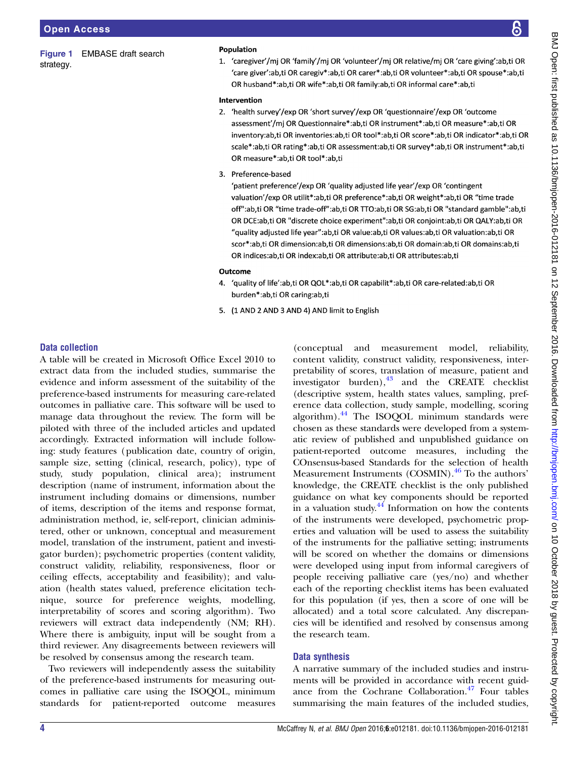<span id="page-3-0"></span>Figure 1 EMBASE draft search strategy.

#### **Population**

1. 'caregiver'/mi OR 'family'/mi OR 'volunteer'/mi OR relative/mi OR 'care giving':ab,ti OR 'care giver':ab.ti OR caregiv\*:ab.ti OR carer\*:ab.ti OR volunteer\*:ab.ti OR spouse\*:ab.ti OR husband\*:ab,ti OR wife\*:ab,ti OR family:ab,ti OR informal care\*:ab,ti

#### Intervention

- 2. 'health survey'/exp OR 'short survey'/exp OR 'questionnaire'/exp OR 'outcome assessment'/mj OR Questionnaire\*:ab,ti OR instrument\*:ab,ti OR measure\*:ab,ti OR inventory:ab,ti OR inventories:ab,ti OR tool\*:ab,ti OR score\*:ab,ti OR indicator\*:ab,ti OR scale\*:ab,ti OR rating\*:ab,ti OR assessment:ab,ti OR survey\*:ab,ti OR instrument\*:ab,ti OR measure\*:ab,ti OR tool\*:ab,ti
- 3. Preference-based

'patient preference'/exp OR 'quality adjusted life year'/exp OR 'contingent valuation'/exp OR utilit\*:ab,ti OR preference\*:ab,ti OR weight\*:ab,ti OR "time trade off":ab,ti OR "time trade-off":ab,ti OR TTO:ab,ti OR SG:ab,ti OR "standard gamble":ab,ti OR DCE:ab,ti OR "discrete choice experiment":ab,ti OR conjoint:ab,ti OR QALY:ab,ti OR "quality adjusted life year":ab,ti OR value:ab,ti OR values:ab,ti OR valuation:ab,ti OR scor\*:ab,ti OR dimension:ab,ti OR dimensions:ab,ti OR domain:ab,ti OR domains:ab,ti OR indices:ab,ti OR index:ab,ti OR attribute:ab,ti OR attributes:ab,ti

#### Outcome

- 4. 'quality of life':ab,ti OR QOL\*:ab,ti OR capabilit\*:ab,ti OR care-related:ab,ti OR burden\*:ab,ti OR caring:ab,ti
- 5. (1 AND 2 AND 3 AND 4) AND limit to English

#### Data collection

A table will be created in Microsoft Office Excel 2010 to extract data from the included studies, summarise the evidence and inform assessment of the suitability of the preference-based instruments for measuring care-related outcomes in palliative care. This software will be used to manage data throughout the review. The form will be piloted with three of the included articles and updated accordingly. Extracted information will include following: study features (publication date, country of origin, sample size, setting (clinical, research, policy), type of study, study population, clinical area); instrument description (name of instrument, information about the instrument including domains or dimensions, number of items, description of the items and response format, administration method, ie, self-report, clinician administered, other or unknown, conceptual and measurement model, translation of the instrument, patient and investigator burden); psychometric properties (content validity, construct validity, reliability, responsiveness, floor or ceiling effects, acceptability and feasibility); and valuation (health states valued, preference elicitation technique, source for preference weights, modelling, interpretability of scores and scoring algorithm). Two reviewers will extract data independently (NM; RH). Where there is ambiguity, input will be sought from a third reviewer. Any disagreements between reviewers will be resolved by consensus among the research team.

Two reviewers will independently assess the suitability of the preference-based instruments for measuring outcomes in palliative care using the ISOQOL, minimum standards for patient-reported outcome measures

(conceptual and measurement model, reliability, content validity, construct validity, responsiveness, interpretability of scores, translation of measure, patient and investigator burden), $^{43}$  $^{43}$  $^{43}$  and the CREATE checklist (descriptive system, health states values, sampling, preference data collection, study sample, modelling, scoring algorithm). $44$  The ISOOOL minimum standards were chosen as these standards were developed from a systematic review of published and unpublished guidance on patient-reported outcome measures, including the COnsensus-based Standards for the selection of health Measurement Instruments (COSMIN).<sup>46</sup> To the authors' knowledge, the CREATE checklist is the only published guidance on what key components should be reported in a valuation study. $44$  Information on how the contents of the instruments were developed, psychometric properties and valuation will be used to assess the suitability of the instruments for the palliative setting; instruments will be scored on whether the domains or dimensions were developed using input from informal caregivers of people receiving palliative care (yes/no) and whether each of the reporting checklist items has been evaluated for this population (if yes, then a score of one will be allocated) and a total score calculated. Any discrepancies will be identified and resolved by consensus among the research team.

#### Data synthesis

A narrative summary of the included studies and instruments will be provided in accordance with recent guid-ance from the Cochrane Collaboration.<sup>[47](#page-5-0)</sup> Four tables summarising the main features of the included studies,

ள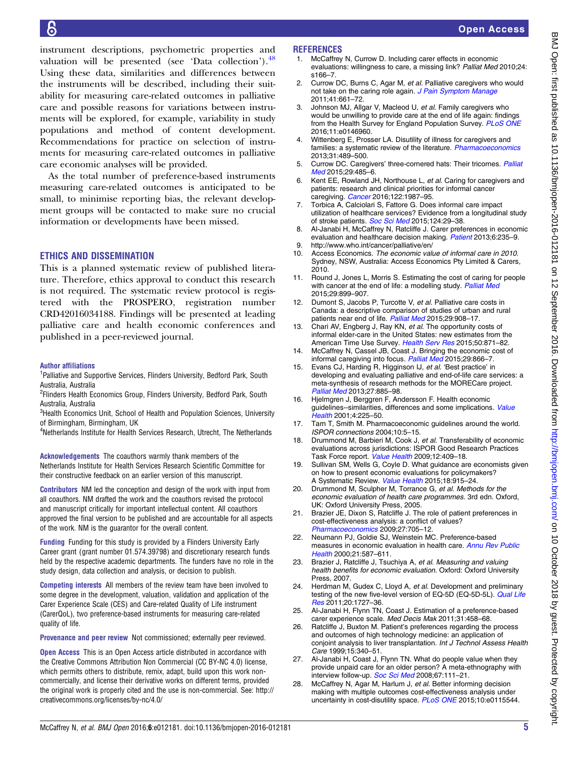<span id="page-4-0"></span>instrument descriptions, psychometric properties and valuation will be presented (see 'Data collection'). $48$ Using these data, similarities and differences between the instruments will be described, including their suitability for measuring care-related outcomes in palliative care and possible reasons for variations between instruments will be explored, for example, variability in study populations and method of content development. Recommendations for practice on selection of instruments for measuring care-related outcomes in palliative care economic analyses will be provided.

As the total number of preference-based instruments measuring care-related outcomes is anticipated to be small, to minimise reporting bias, the relevant development groups will be contacted to make sure no crucial information or developments have been missed.

#### ETHICS AND DISSEMINATION

This is a planned systematic review of published literature. Therefore, ethics approval to conduct this research is not required. The systematic review protocol is registered with the PROSPERO, registration number CRD42016034188. Findings will be presented at leading palliative care and health economic conferences and published in a peer-reviewed journal.

#### Author affiliations

<sup>1</sup>Palliative and Supportive Services, Flinders University, Bedford Park, South Australia, Australia

<sup>2</sup>Flinders Health Economics Group, Flinders University, Bedford Park, South Australia, Australia

<sup>3</sup>Health Economics Unit, School of Health and Population Sciences, University of Birmingham, Birmingham, UK

<sup>4</sup>Netherlands Institute for Health Services Research, Utrecht, The Netherlands

Acknowledgements The coauthors warmly thank members of the Netherlands Institute for Health Services Research Scientific Committee for their constructive feedback on an earlier version of this manuscript.

Contributors NM led the conception and design of the work with input from all coauthors. NM drafted the work and the coauthors revised the protocol and manuscript critically for important intellectual content. All coauthors approved the final version to be published and are accountable for all aspects of the work. NM is the guarantor for the overall content.

Funding Funding for this study is provided by a Flinders University Early Career grant (grant number 01.574.39798) and discretionary research funds held by the respective academic departments. The funders have no role in the study design, data collection and analysis, or decision to publish.

Competing interests All members of the review team have been involved to some degree in the development, valuation, validation and application of the Carer Experience Scale (CES) and Care-related Quality of Life instrument (CarerQoL), two preference-based instruments for measuring care-related quality of life.

Provenance and peer review Not commissioned; externally peer reviewed.

**Open Access** This is an Open Access article distributed in accordance with the Creative Commons Attribution Non Commercial (CC BY-NC 4.0) license, which permits others to distribute, remix, adapt, build upon this work noncommercially, and license their derivative works on different terms, provided the original work is properly cited and the use is non-commercial. See: [http://](http://creativecommons.org/licenses/by-nc/4.0/) [creativecommons.org/licenses/by-nc/4.0/](http://creativecommons.org/licenses/by-nc/4.0/)

#### **REFERENCES**

- 1. McCaffrey N, Currow D. Including carer effects in economic evaluations: willingness to care, a missing link? Palliat Med 2010;24: s166–7.
- 2. Currow DC, Burns C, Agar M, et al. Palliative caregivers who would not take on the caring role again. [J Pain Symptom Manage](http://dx.doi.org/10.1016/j.jpainsymman.2010.06.017) 2011;41:661–72.
- Johnson MJ, Allgar V, Macleod U, et al. Family caregivers who would be unwilling to provide care at the end of life again: findings from the Health Survey for England Population Survey. [PLoS ONE](http://dx.doi.org/10.1371/journal.pone.0146960) 2016;11:e0146960.
- 4. Wittenberg E, Prosser LA. Disutility of illness for caregivers and families: a systematic review of the literature. [Pharmacoeconomics](http://dx.doi.org/10.1007/s40273-013-0040-y) 2013;31:489–500.
- 5. Currow DC. Caregivers' three-cornered hats: Their tricornes. [Palliat](http://dx.doi.org/10.1177/0269216315584243) [Med](http://dx.doi.org/10.1177/0269216315584243) 2015:29:485-6.
- 6. Kent EE, Rowland JH, Northouse L, et al. Caring for caregivers and patients: research and clinical priorities for informal cancer caregiving. [Cancer](http://dx.doi.org/10.1002/cncr.29939) 2016;122:1987-95.
- 7. Torbica A, Calciolari S, Fattore G. Does informal care impact utilization of healthcare services? Evidence from a longitudinal study of stroke patients. [Soc Sci Med](http://dx.doi.org/10.1016/j.socscimed.2014.11.005) 2015;124:29-38.
- 8. Al-Janabi H, McCaffrey N, Ratcliffe J. Carer preferences in economic evaluation and healthcare decision making. [Patient](http://dx.doi.org/10.1007/s40271-013-0035-y) 2013;6:235–9.
- 9.<http://www.who.int/cancer/palliative/en/>
- 10. Access Economics. The economic value of informal care in 2010. Sydney, NSW, Australia: Access Economics Pty Limited & Carers, 2010.
- 11. Round J, Jones L, Morris S. Estimating the cost of caring for people with cancer at the end of life: a modelling study. [Palliat Med](http://dx.doi.org/10.1177/0269216315595203) 2015;29:899–907.
- 12. Dumont S, Jacobs P, Turcotte V, et al. Palliative care costs in Canada: a descriptive comparison of studies of urban and rural patients near end of life. [Palliat Med](http://dx.doi.org/10.1177/0269216315583620) 2015;29:908-17.
- 13. Chari AV, Engberg J, Ray KN, et al. The opportunity costs of informal elder-care in the United States: new estimates from the American Time Use Survey. [Health Serv Res](http://dx.doi.org/10.1111/1475-6773.12238) 2015;50:871-82.
- 14. McCaffrey N, Cassel JB, Coast J. Bringing the economic cost of informal caregiving into focus. [Palliat Med](http://dx.doi.org/10.1177/0269216315612653) 2015;29:866-7.
- 15. Evans CJ, Harding R, Higginson IJ, et al. 'Best practice' in developing and evaluating palliative and end-of-life care services: a meta-synthesis of research methods for the MORECare project. [Palliat Med](http://dx.doi.org/10.1177/0269216312467489) 2013;27:885–98.
- 16. Hjelmgren J, Berggren F, Andersson F. Health economic guidelines--similarities, differences and some implications. [Value](http://dx.doi.org/10.1046/j.1524-4733.2001.43040.x) [Health](http://dx.doi.org/10.1046/j.1524-4733.2001.43040.x) 2001;4:225–50.
- 17. Tarn T, Smith M. Pharmacoeconomic guidelines around the world. ISPOR connections 2004;10:5–15.
- 18. Drummond M, Barbieri M, Cook J, et al. Transferability of economic evaluations across jurisdictions: ISPOR Good Research Practices Task Force report. [Value Health](http://dx.doi.org/10.1111/j.1524-4733.2008.00489.x) 2009;12:409-18.
- 19. Sullivan SM, Wells G, Coyle D. What guidance are economists given on how to present economic evaluations for policymakers? A Systematic Review. [Value Health](http://dx.doi.org/10.1016/j.jval.2015.06.007) 2015;18:915–24.
- 20. Drummond M, Sculpher M, Torrance G, et al. Methods for the economic evaluation of health care programmes. 3rd edn. Oxford, UK: Oxford University Press, 2005.
- 21. Brazier JE, Dixon S, Ratcliffe J. The role of patient preferences in cost-effectiveness analysis: a conflict of values? [Pharmacoeconomics](http://dx.doi.org/10.2165/11314840-000000000-00000) 2009;27:705–12.
- 22. Neumann PJ, Goldie SJ, Weinstein MC. Preference-based measures in economic evaluation in health care. [Annu Rev Public](http://dx.doi.org/10.1146/annurev.publhealth.21.1.587) [Health](http://dx.doi.org/10.1146/annurev.publhealth.21.1.587) 2000;21:587–611.
- 23. Brazier J, Ratcliffe J, Tsuchiya A, et al. Measuring and valuing health benefits for economic evaluation. Oxford: Oxford University Press, 2007.
- 24. Herdman M, Gudex C, Lloyd A, et al. Development and preliminary testing of the new five-level version of EQ-5D (EQ-5D-5L). [Qual Life](http://dx.doi.org/10.1007/s11136-011-9903-x) [Res](http://dx.doi.org/10.1007/s11136-011-9903-x) 2011;20:1727–36.
- 25. Al-Janabi H, Flynn TN, Coast J. Estimation of a preference-based carer experience scale. Med Decis Mak 2011;31:458–68.
- 26. Ratcliffe J, Buxton M. Patient's preferences regarding the process and outcomes of high technology medicine: an application of conjoint analysis to liver transplantation. Int J Technol Assess Health Care 1999;15:340–51.
- 27. Al-Janabi H, Coast J, Flynn TN. What do people value when they provide unpaid care for an older person? A meta-ethnography with interview follow-up. [Soc Sci Med](http://dx.doi.org/10.1016/j.socscimed.2008.03.032) 2008;67:111-21.
- 28. McCaffrey N, Agar M, Harlum J, et al. Better informing decision making with multiple outcomes cost-effectiveness analysis under uncertainty in cost-disutility space. [PLoS ONE](http://dx.doi.org/10.1371/journal.pone.0115544) 2015;10:e0115544.